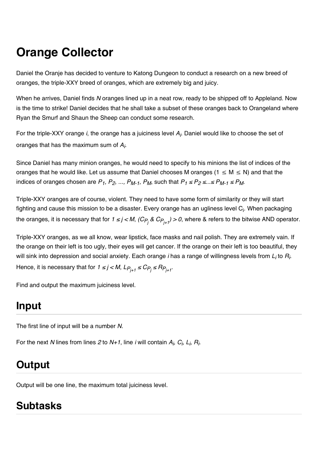# **Orange Collector**

Daniel the Oranje has decided to venture to Katong Dungeon to conduct a research on a new breed of oranges, the triple-XXY breed of oranges, which are extremely big and juicy.

When he arrives, Daniel finds *N* oranges lined up in a neat row, ready to be shipped off to Appleland. Now is the time to strike! Daniel decides that he shall take a subset of these oranges back to Orangeland where Ryan the Smurf and Shaun the Sheep can conduct some research.

For the triple-XXY orange *i*, the orange has a juiciness level *Ai* . Daniel would like to choose the set of oranges that has the maximum sum of *Ai* .

Since Daniel has many minion oranges, he would need to specify to his minions the list of indices of the oranges that he would like. Let us assume that Daniel chooses M oranges ( $1 \le M \le N$ ) and that the indices of oranges chosen are  $P_1$ ,  $P_2$ , ...,  $P_{M-1}$ ,  $P_M$ , such that  $P_1 \le P_2 \le ... \le P_{M-1} \le P_M$ .

Triple-XXY oranges are of course, violent. They need to have some form of similarity or they will start fighting and cause this mission to be a disaster. Every orange has an ugliness level C<sub>i</sub>. When packaging the oranges, it is necessary that for *1 ≤ j < M, (C<sub>P<sub>j</sub> & C<sub>P<sub>j+1</sub>) > 0*, where & refers to the bitwise AND operator.</sub></sub>

Triple-XXY oranges, as we all know, wear lipstick, face masks and nail polish. They are extremely vain. If the orange on their left is too ugly, their eyes will get cancer. If the orange on their left is too beautiful, they will sink into depression and social anxiety. Each orange *i* has a range of willingness levels from *Li* to *Ri* . Hence, it is necessary that for  $1 \le j < M$ ,  $LP_{i+1} \le CP_i \le RP_{i+1}$ .

Find and output the maximum juiciness level.

# **Input**

The first line of input will be a number *N*.

For the next *N* lines from lines 2 to *N+1*, line *i* will contain  $A_i$ ,  $C_i$ ,  $L_i$ ,  $R_i$ .

# **Output**

Output will be one line, the maximum total juiciness level.

## **Subtasks**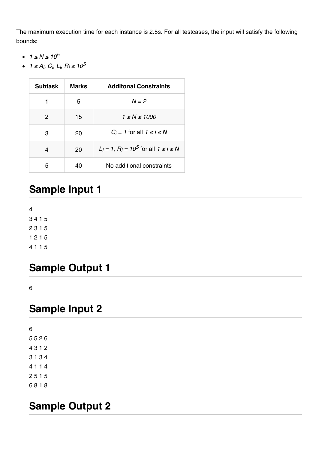The maximum execution time for each instance is 2.5s. For all testcases, the input will satisfy the following bounds:

- $\cdot$  1 ≤ N ≤ 10<sup>5</sup>
- *1* ≤  $A_i$ ,  $C_i$ ,  $L_i$ ,  $R_i$  ≤  $10^5$

| <b>Subtask</b> | <b>Marks</b> | <b>Additonal Constraints</b>                     |
|----------------|--------------|--------------------------------------------------|
| 1              | 5            | $N = 2$                                          |
| 2              | 15           | $1 \le N \le 1000$                               |
| З              | 20           | $C_i = 1$ for all $1 \le i \le N$                |
| 4              | 20           | $L_i = 1$ , $R_i = 10^5$ for all $1 \le i \le N$ |
| 5              | 40           | No additional constraints                        |

## **Sample Input 1**

#### **Sample Output 1**

6

#### **Sample Input 2**

#### **Sample Output 2**